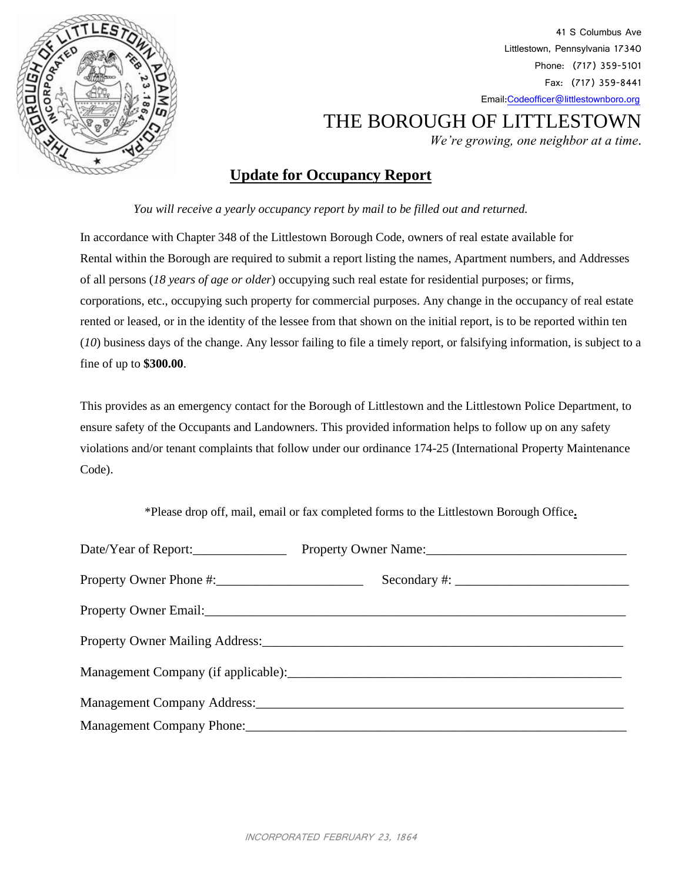

41 S Columbus Ave Littlestown, Pennsylvania 17340 Phone: (717) 359-5101 Fax: (717) 359-8441 Emai[l:Codeofficer@littlestownboro.org](mailto:Codeofficer@littlestownboro.org)

## THE BOROUGH OF LITTLESTOWN

 *We're growing, one neighbor at a time*.

## **Update for Occupancy Report**

*You will receive a yearly occupancy report by mail to be filled out and returned.* 

In accordance with Chapter 348 of the Littlestown Borough Code, owners of real estate available for Rental within the Borough are required to submit a report listing the names, Apartment numbers, and Addresses of all persons (*18 years of age or older*) occupying such real estate for residential purposes; or firms, corporations, etc., occupying such property for commercial purposes. Any change in the occupancy of real estate rented or leased, or in the identity of the lessee from that shown on the initial report, is to be reported within ten (*10*) business days of the change. Any lessor failing to file a timely report, or falsifying information, is subject to a fine of up to **\$300.00**.

This provides as an emergency contact for the Borough of Littlestown and the Littlestown Police Department, to ensure safety of the Occupants and Landowners. This provided information helps to follow up on any safety violations and/or tenant complaints that follow under our ordinance 174-25 (International Property Maintenance Code).

\*Please drop off, mail, email or fax completed forms to the Littlestown Borough Office**.**

| Date/Year of Report:      | Property Owner Name: 2008. [2010] Property Owner Name: |  |
|---------------------------|--------------------------------------------------------|--|
|                           | $Secondary \#:\_$                                      |  |
|                           |                                                        |  |
|                           |                                                        |  |
|                           |                                                        |  |
|                           |                                                        |  |
| Management Company Phone: |                                                        |  |